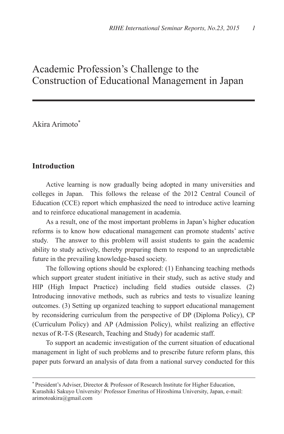# Academic Profession's Challenge to the Construction of Educational Management in Japan

Akira Arimoto

# **Introduction**

 $\overline{a}$ 

Active learning is now gradually being adopted in many universities and colleges in Japan. This follows the release of the 2012 Central Council of Education (CCE) report which emphasized the need to introduce active learning and to reinforce educational management in academia.

As a result, one of the most important problems in Japan's higher education reforms is to know how educational management can promote students' active study. The answer to this problem will assist students to gain the academic ability to study actively, thereby preparing them to respond to an unpredictable future in the prevailing knowledge-based society.

The following options should be explored: (1) Enhancing teaching methods which support greater student initiative in their study, such as active study and HIP (High Impact Practice) including field studies outside classes. (2) Introducing innovative methods, such as rubrics and tests to visualize leaning outcomes. (3) Setting up organized teaching to support educational management by reconsidering curriculum from the perspective of DP (Diploma Policy), CP (Curriculum Policy) and AP (Admission Policy), whilst realizing an effective nexus of R-T-S (Research, Teaching and Study) for academic staff.

To support an academic investigation of the current situation of educational management in light of such problems and to prescribe future reform plans, this paper puts forward an analysis of data from a national survey conducted for this

President's Adviser, Director & Professor of Research Institute for Higher Education, Kurashiki Sakuyo University/ Professor Emeritus of Hiroshima University, Japan, e-mail: arimotoakira@gmail.com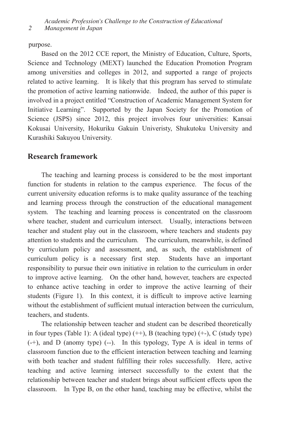*2 Management in Japan*

purpose.

Based on the 2012 CCE report, the Ministry of Education, Culture, Sports, Science and Technology (MEXT) launched the Education Promotion Program among universities and colleges in 2012, and supported a range of projects related to active learning. It is likely that this program has served to stimulate the promotion of active learning nationwide. Indeed, the author of this paper is involved in a project entitled "Construction of Academic Management System for Initiative Learning". Supported by the Japan Society for the Promotion of Science (JSPS) since 2012, this project involves four universities: Kansai Kokusai University, Hokuriku Gakuin Univeristy, Shukutoku University and Kurashiki Sakuyou University.

# **Research framework**

The teaching and learning process is considered to be the most important function for students in relation to the campus experience. The focus of the current university education reforms is to make quality assurance of the teaching and learning process through the construction of the educational management system. The teaching and learning process is concentrated on the classroom where teacher, student and curriculum intersect. Usually, interactions between teacher and student play out in the classroom, where teachers and students pay attention to students and the curriculum. The curriculum, meanwhile, is defined by curriculum policy and assessment, and, as such, the establishment of curriculum policy is a necessary first step. Students have an important responsibility to pursue their own initiative in relation to the curriculum in order to improve active learning. On the other hand, however, teachers are expected to enhance active teaching in order to improve the active learning of their students (Figure 1). In this context, it is difficult to improve active learning without the establishment of sufficient mutual interaction between the curriculum, teachers, and students.

 The relationship between teacher and student can be described theoretically in four types (Table 1): A (ideal type)  $(++)$ , B (teaching type)  $(+)$ , C (study type) (-+), and D (anomy type) (--). In this typology, Type A is ideal in terms of classroom function due to the efficient interaction between teaching and learning with both teacher and student fulfilling their roles successfully. Here, active teaching and active learning intersect successfully to the extent that the relationship between teacher and student brings about sufficient effects upon the classroom. In Type B, on the other hand, teaching may be effective, whilst the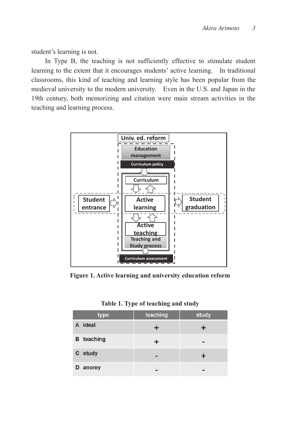student's learning is not.

In Type B, the teaching is not sufficiently effective to stimulate student learning to the extent that it encourages students' active learning. In traditional classrooms, this kind of teaching and learning style has been popular from the medieval university to the modern university. Even in the U.S. and Japan in the 19th century, both memorizing and citation were main stream activities in the teaching and learning process.



**Figure 1. Active learning and university education reform** 

|  |  |  |  | Table 1. Type of teaching and study |  |  |
|--|--|--|--|-------------------------------------|--|--|
|--|--|--|--|-------------------------------------|--|--|

| type              | teaching | study |
|-------------------|----------|-------|
| A ideal           |          |       |
| <b>B</b> teaching |          |       |
| C study           |          |       |
| D<br>anomy        |          |       |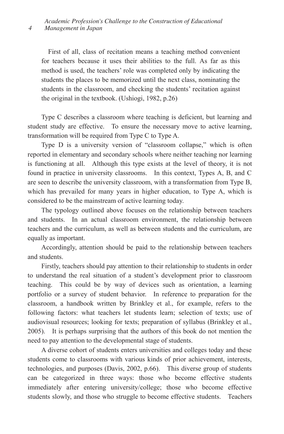First of all, class of recitation means a teaching method convenient for teachers because it uses their abilities to the full. As far as this method is used, the teachers' role was completed only by indicating the students the places to be memorized until the next class, nominating the students in the classroom, and checking the students' recitation against the original in the textbook. (Ushiogi, 1982, p.26)

Type C describes a classroom where teaching is deficient, but learning and student study are effective. To ensure the necessary move to active learning, transformation will be required from Type C to Type A.

Type D is a university version of "classroom collapse," which is often reported in elementary and secondary schools where neither teaching nor learning is functioning at all. Although this type exists at the level of theory, it is not found in practice in university classrooms. In this context, Types A, B, and C are seen to describe the university classroom, with a transformation from Type B, which has prevailed for many years in higher education, to Type A, which is considered to be the mainstream of active learning today.

The typology outlined above focuses on the relationship between teachers and students. In an actual classroom environment, the relationship between teachers and the curriculum, as well as between students and the curriculum, are equally as important.

Accordingly, attention should be paid to the relationship between teachers and students.

Firstly, teachers should pay attention to their relationship to students in order to understand the real situation of a student's development prior to classroom teaching. This could be by way of devices such as orientation, a learning portfolio or a survey of student behavior. In reference to preparation for the classroom, a handbook written by Brinkley et al., for example, refers to the following factors: what teachers let students learn; selection of texts; use of audiovisual resources; looking for texts; preparation of syllabus (Brinkley et al., 2005). It is perhaps surprising that the authors of this book do not mention the need to pay attention to the developmental stage of students.

A diverse cohort of students enters universities and colleges today and these students come to classrooms with various kinds of prior achievement, interests, technologies, and purposes (Davis, 2002, p.66). This diverse group of students can be categorized in three ways: those who become effective students immediately after entering university/college; those who become effective students slowly, and those who struggle to become effective students. Teachers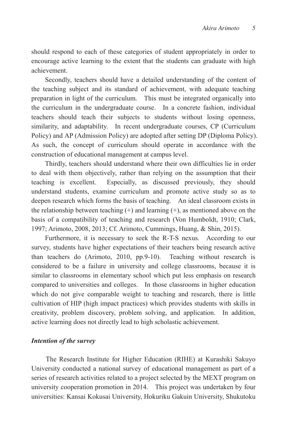should respond to each of these categories of student appropriately in order to encourage active learning to the extent that the students can graduate with high achievement.

Secondly, teachers should have a detailed understanding of the content of the teaching subject and its standard of achievement, with adequate teaching preparation in light of the curriculum. This must be integrated organically into the curriculum in the undergraduate course. In a concrete fashion, individual teachers should teach their subjects to students without losing openness, similarity, and adaptability. In recent undergraduate courses, CP (Curriculum Policy) and AP (Admission Policy) are adopted after setting DP (Diploma Policy). As such, the concept of curriculum should operate in accordance with the construction of educational management at campus level.

Thirdly, teachers should understand where their own difficulties lie in order to deal with them objectively, rather than relying on the assumption that their teaching is excellent. Especially, as discussed previously, they should understand students, examine curriculum and promote active study so as to deepen research which forms the basis of teaching. An ideal classroom exists in the relationship between teaching  $(+)$  and learning  $(+)$ , as mentioned above on the basis of a compatibility of teaching and research (Von Humboldt, 1910; Clark, 1997; Arimoto, 2008, 2013; Cf. Arimoto, Cummings, Huang, & Shin, 2015).

Furthermore, it is necessary to seek the R-T-S nexus. According to our survey, students have higher expectations of their teachers being research active than teachers do (Arimoto, 2010, pp.9-10). Teaching without research is considered to be a failure in university and college classrooms, because it is similar to classrooms in elementary school which put less emphasis on research compared to universities and colleges. In those classrooms in higher education which do not give comparable weight to teaching and research, there is little cultivation of HIP (high impact practices) which provides students with skills in creativity, problem discovery, problem solving, and application. In addition, active learning does not directly lead to high scholastic achievement.

## *Intention of the survey*

The Research Institute for Higher Education (RIHE) at Kurashiki Sakuyo University conducted a national survey of educational management as part of a series of research activities related to a project selected by the MEXT program on university cooperation promotion in 2014. This project was undertaken by four universities: Kansai Kokusai University, Hokuriku Gakuin University, Shukutoku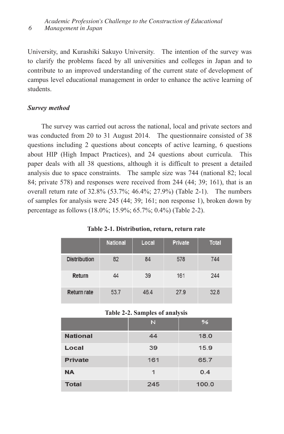*Academic Profession's Challenge to the Construction of Educational 6 Management in Japan*

University, and Kurashiki Sakuyo University. The intention of the survey was to clarify the problems faced by all universities and colleges in Japan and to contribute to an improved understanding of the current state of development of campus level educational management in order to enhance the active learning of students.

## *Survey method*

The survey was carried out across the national, local and private sectors and was conducted from 20 to 31 August 2014. The questionnaire consisted of 38 questions including 2 questions about concepts of active learning, 6 questions about HIP (High Impact Practices), and 24 questions about curricula. This paper deals with all 38 questions, although it is difficult to present a detailed analysis due to space constraints. The sample size was 744 (national 82; local 84; private 578) and responses were received from 244 (44; 39; 161), that is an overall return rate of 32.8% (53.7%; 46.4%; 27.9%) (Table 2-1). The numbers of samples for analysis were 245 (44; 39; 161; non response 1), broken down by percentage as follows (18.0%; 15.9%; 65.7%; 0.4%) (Table 2-2).

|                     | <b>National</b> | Local | Private | <b>Total</b> |
|---------------------|-----------------|-------|---------|--------------|
| <b>Distribution</b> | 82              | 84    | 578     | 744          |
| Return              | 44              | 39    | 161     | 244          |
| <b>Return rate</b>  | 53.7            | 46.4  | 27.9    | 32.8         |

**Table 2-1. Distribution, return, return rate** 

### **Table 2-2. Samples of analysis**

|                 | N   | $\frac{9}{6}$ |
|-----------------|-----|---------------|
| <b>National</b> | 44  | 18.0          |
| Local           | 39  | 15.9          |
| <b>Private</b>  | 161 | 65.7          |
| <b>NA</b>       | 1   | 0.4           |
| <b>Total</b>    | 245 | 100.0         |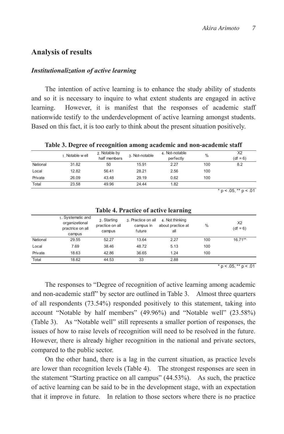## **Analysis of results**

## *Institutionalization of active learning*

The intention of active learning is to enhance the study ability of students and so it is necessary to inquire to what extent students are engaged in active learning. However, it is manifest that the responses of academic staff nationwide testify to the underdevelopment of active learning amongst students. Based on this fact, it is too early to think about the present situation positively.

**Table 3. Degree of recognition among academic and non-academic staff** 

|          | 1. Notable well | 2. Notable by<br>half members | 3. Not-notable | 4. Not-notable<br>perfectly | $\%$ | X2<br>$(df = 6)$ |
|----------|-----------------|-------------------------------|----------------|-----------------------------|------|------------------|
| National | 31.82           | 50                            | 15.91          | 2.27                        | 100  | 8.2              |
| Local    | 12.82           | 56.41                         | 28.21          | 2.56                        | 100  |                  |
| Private  | 26.09           | 43.48                         | 29.19          | 0.62                        | 100  |                  |
| Total    | 23.58           | 49.96                         | 24.44          | 1.82                        |      |                  |

 $* p < .05, ** p < .01$ 

|          | 1. Systematic and<br>organizetional<br>practrice on all<br>campus | 2. Starting<br>practice on all<br>campus | 3. Practice on all<br>campus in<br>future | 4. Not thinking<br>about practice at<br>all | $\%$ | X <sub>2</sub><br>$(df = 6)$ |
|----------|-------------------------------------------------------------------|------------------------------------------|-------------------------------------------|---------------------------------------------|------|------------------------------|
| National | 29.55                                                             | 52.27                                    | 13.64                                     | 2.27                                        | 100  | $16.71**$                    |
| Local    | 7.69                                                              | 38.46                                    | 48.72                                     | 5.13                                        | 100  |                              |
| Private  | 18.63                                                             | 42.86                                    | 36.65                                     | 1.24                                        | 100  |                              |
| Total    | 18.62                                                             | 44.53                                    | 33                                        | 2.88                                        |      |                              |

#### **Table 4. Practice of active learning**

 $* p < .05, ** p < .01$ 

The responses to "Degree of recognition of active learning among academic and non-academic staff" by sector are outlined in Table 3. Almost three quarters of all respondents (73.54%) responded positively to this statement, taking into account "Notable by half members" (49.96%) and "Notable well" (23.58%) (Table 3). As "Notable well" still represents a smaller portion of responses, the issues of how to raise levels of recognition will need to be resolved in the future. However, there is already higher recognition in the national and private sectors, compared to the public sector.

On the other hand, there is a lag in the current situation, as practice levels are lower than recognition levels (Table 4). The strongest responses are seen in the statement "Starting practice on all campus" (44.53%). As such, the practice of active learning can be said to be in the development stage, with an expectation that it improve in future. In relation to those sectors where there is no practice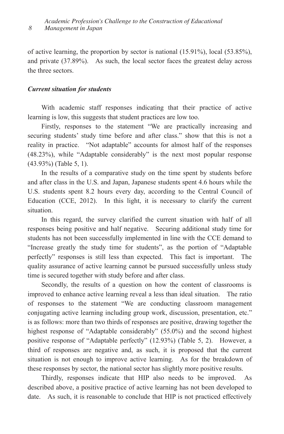of active learning, the proportion by sector is national (15.91%), local (53.85%), and private (37.89%). As such, the local sector faces the greatest delay across the three sectors.

## *Current situation for students*

With academic staff responses indicating that their practice of active learning is low, this suggests that student practices are low too.

Firstly, responses to the statement "We are practically increasing and securing students' study time before and after class." show that this is not a reality in practice. "Not adaptable" accounts for almost half of the responses (48.23%), while "Adaptable considerably" is the next most popular response (43.93%) (Table 5, 1).

In the results of a comparative study on the time spent by students before and after class in the U.S. and Japan, Japanese students spent 4.6 hours while the U.S. students spent 8.2 hours every day, according to the Central Council of Education (CCE, 2012). In this light, it is necessary to clarify the current situation.

In this regard, the survey clarified the current situation with half of all responses being positive and half negative. Securing additional study time for students has not been successfully implemented in line with the CCE demand to "Increase greatly the study time for students", as the portion of "Adaptable perfectly" responses is still less than expected. This fact is important. The quality assurance of active learning cannot be pursued successfully unless study time is secured together with study before and after class.

Secondly, the results of a question on how the content of classrooms is improved to enhance active learning reveal a less than ideal situation. The ratio of responses to the statement "We are conducting classroom management conjugating active learning including group work, discussion, presentation, etc." is as follows: more than two thirds of responses are positive, drawing together the highest response of "Adaptable considerably" (55.0%) and the second highest positive response of "Adaptable perfectly" (12.93%) (Table 5, 2). However, a third of responses are negative and, as such, it is proposed that the current situation is not enough to improve active learning. As for the breakdown of these responses by sector, the national sector has slightly more positive results.

Thirdly, responses indicate that HIP also needs to be improved. As described above, a positive practice of active learning has not been developed to date. As such, it is reasonable to conclude that HIP is not practiced effectively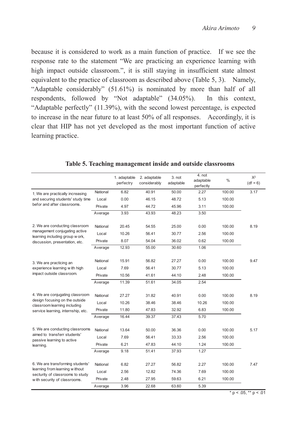because it is considered to work as a main function of practice. If we see the response rate to the statement "We are practicing an experience learning with high impact outside classroom.", it is still staying in insufficient state almost equivalent to the practice of classroom as described above (Table 5, 3). Namely, "Adaptable considerably" (51.61%) is nominated by more than half of all respondents, followed by "Not adaptable" (34.05%). In this context, "Adaptable perfectly" (11.39%), with the second lowest percentage, is expected to increase in the near future to at least 50% of all responses. Accordingly, it is clear that HIP has not yet developed as the most important function of active learning practice.

|                                                                                       |          | 1. adaptable<br>perfectry | 2. adaptable<br>considerably | 3. not<br>adaptable | 4. not<br>adaptable<br>perfectly | $\frac{0}{0}$ | $X^2$<br>$(df = 6)$ |
|---------------------------------------------------------------------------------------|----------|---------------------------|------------------------------|---------------------|----------------------------------|---------------|---------------------|
| 1. We are practically increasing                                                      | National | 6.82                      | 40.91                        | 50.00               | 2.27                             | 100.00        | 3.17                |
| and securing students' study time                                                     | Local    | 0.00                      | 46.15                        | 48.72               | 5.13                             | 100.00        |                     |
| befor and after classrooms.                                                           | Private  | 4.97                      | 44.72                        | 45.96               | 3.11                             | 100.00        |                     |
|                                                                                       | Average  | 3.93                      | 43.93                        | 48.23               | 3.50                             |               |                     |
| 2. We are conducting classroom                                                        | National | 20.45                     | 54.55                        | 25.00               | 0.00                             | 100.00        | 8.19                |
| management conjugating active<br>learning including group w ork,                      | Local    | 10.26                     | 56.41                        | 30.77               | 2.56                             | 100.00        |                     |
| discussion, presentation, etc.                                                        | Private  | 8.07                      | 54.04                        | 36.02               | 0.62                             | 100.00        |                     |
|                                                                                       | Average  | 12.93                     | 55.00                        | 30.60               | 1.06                             |               |                     |
| 3. We are practicing an<br>experience learning with high<br>impact outside classroom. | National | 15.91                     | 56.82                        | 27.27               | 0.00                             | 100.00        | 9.47                |
|                                                                                       | Local    | 7.69                      | 56.41                        | 30.77               | 5.13                             | 100.00        |                     |
|                                                                                       | Private  | 10.56                     | 41.61                        | 44.10               | 2.48                             | 100.00        |                     |
|                                                                                       | Average  | 11.39                     | 51.61                        | 34.05               | 2.54                             |               |                     |
| 4. We are conjugating classroom                                                       | National | 27.27                     | 31.82                        | 40.91               | 0.00                             | 100.00        | 8.19                |
| design focusing on the outside<br>classroom learning including                        | Local    | 10.26                     | 38.46                        | 38.46               | 10.26                            | 100.00        |                     |
| service learning, internship, etc.                                                    | Private  | 11.80                     | 47.83                        | 32.92               | 6.83                             | 100.00        |                     |
|                                                                                       | Average  | 16.44                     | 39.37                        | 37.43               | 5.70                             |               |                     |
| 5. We are conducting classrooms                                                       | National | 13.64                     | 50.00                        | 36.36               | 0.00                             | 100.00        | 5.17                |
| aimed to transferr students'<br>passive learning to active                            | Local    | 7.69                      | 56.41                        | 33.33               | 2.56                             | 100.00        |                     |
| learning.                                                                             | Private  | 6.21                      | 47.83                        | 44.10               | 1.24                             | 100.00        |                     |
|                                                                                       | Average  | 9.18                      | 51.41                        | 37.93               | 1.27                             |               |                     |
| 6. We are transforming students'                                                      | National | 6.82                      | 27.27                        | 56.82               | 2.27                             | 100.00        | 7.47                |
| learning from learning without<br>secturity of classrooms to study                    | Local    | 2.56                      | 12.82                        | 74.36               | 7.69                             | 100.00        |                     |
| with security of classrooms.                                                          | Private  | 2.48                      | 27.95                        | 59.63               | 6.21                             | 100.00        |                     |
|                                                                                       | Average  | 3.96                      | 22.68                        | 63.60               | 5.39                             |               |                     |

**Table 5. Teaching management inside and outside classrooms** 

 $* p < .05, ** p < .01$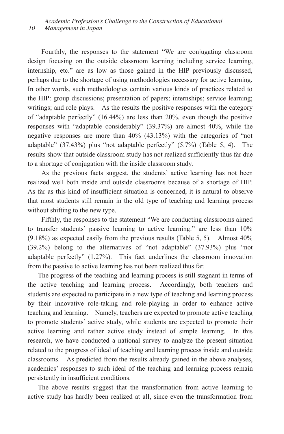Fourthly, the responses to the statement "We are conjugating classroom design focusing on the outside classroom learning including service learning, internship, etc." are as low as those gained in the HIP previously discussed, perhaps due to the shortage of using methodologies necessary for active learning. In other words, such methodologies contain various kinds of practices related to the HIP: group discussions; presentation of papers; internships; service learning; writings; and role plays. As the results the positive responses with the category of "adaptable perfectly" (16.44%) are less than 20%, even though the positive responses with "adaptable considerably" (39.37%) are almost 40%, while the negative responses are more than 40% (43.13%) with the categories of "not adaptable" (37.43%) plus "not adaptable perfectly" (5.7%) (Table 5, 4). The results show that outside classroom study has not realized sufficiently thus far due to a shortage of conjugation with the inside classroom study.

As the previous facts suggest, the students' active learning has not been realized well both inside and outside classrooms because of a shortage of HIP. As far as this kind of insufficient situation is concerned, it is natural to observe that most students still remain in the old type of teaching and learning process without shifting to the new type.

Fifthly, the responses to the statement "We are conducting classrooms aimed to transfer students' passive learning to active learning." are less than 10% (9.18%) as expected easily from the previous results (Table 5, 5). Almost 40% (39.2%) belong to the alternatives of "not adaptable" (37.93%) plus "not adaptable perfectly" (1.27%). This fact underlines the classroom innovation from the passive to active learning has not been realized thus far.

The progress of the teaching and learning process is still stagnant in terms of the active teaching and learning process. Accordingly, both teachers and students are expected to participate in a new type of teaching and learning process by their innovative role-taking and role-playing in order to enhance active teaching and learning. Namely, teachers are expected to promote active teaching to promote students' active study, while students are expected to promote their active learning and rather active study instead of simple learning. In this research, we have conducted a national survey to analyze the present situation related to the progress of ideal of teaching and learning process inside and outside classrooms. As predicted from the results already gained in the above analyses, academics' responses to such ideal of the teaching and learning process remain persistently in insufficient conditions.

The above results suggest that the transformation from active learning to active study has hardly been realized at all, since even the transformation from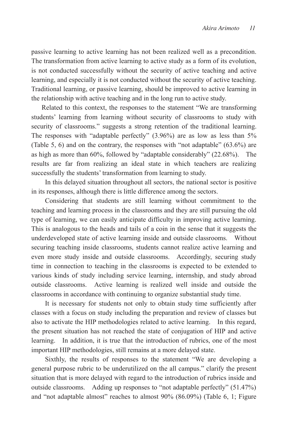passive learning to active learning has not been realized well as a precondition. The transformation from active learning to active study as a form of its evolution, is not conducted successfully without the security of active teaching and active learning, and especially it is not conducted without the security of active teaching. Traditional learning, or passive learning, should be improved to active learning in the relationship with active teaching and in the long run to active study.

Related to this context, the responses to the statement "We are transforming students' learning from learning without security of classrooms to study with security of classrooms." suggests a strong retention of the traditional learning. The responses with "adaptable perfectly" (3.96%) are as low as less than 5% (Table 5, 6) and on the contrary, the responses with "not adaptable" (63.6%) are as high as more than 60%, followed by "adaptable considerably" (22.68%). The results are far from realizing an ideal state in which teachers are realizing successfully the students' transformation from learning to study.

In this delayed situation throughout all sectors, the national sector is positive in its responses, although there is little difference among the sectors.

Considering that students are still learning without commitment to the teaching and learning process in the classrooms and they are still pursuing the old type of learning, we can easily anticipate difficulty in improving active learning. This is analogous to the heads and tails of a coin in the sense that it suggests the underdeveloped state of active learning inside and outside classrooms. Without securing teaching inside classrooms, students cannot realize active learning and even more study inside and outside classrooms. Accordingly, securing study time in connection to teaching in the classrooms is expected to be extended to various kinds of study including service learning, internship, and study abroad outside classrooms. Active learning is realized well inside and outside the classrooms in accordance with continuing to organize substantial study time.

It is necessary for students not only to obtain study time sufficiently after classes with a focus on study including the preparation and review of classes but also to activate the HIP methodologies related to active learning. In this regard, the present situation has not reached the state of conjugation of HIP and active learning. In addition, it is true that the introduction of rubrics, one of the most important HIP methodologies, still remains at a more delayed state.

Sixthly, the results of responses to the statement "We are developing a general purpose rubric to be underutilized on the all campus." clarify the present situation that is more delayed with regard to the introduction of rubrics inside and outside classrooms. Adding up responses to "not adaptable perfectly" (51.47%) and "not adaptable almost" reaches to almost 90% (86.09%) (Table 6, 1; Figure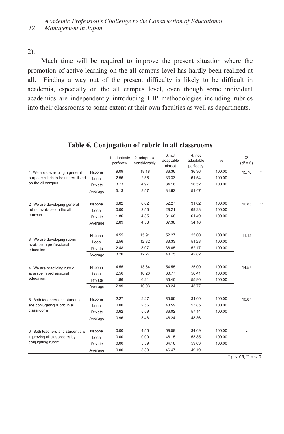### 2).

Much time will be required to improve the present situation where the promotion of active learning on the all campus level has hardly been realized at all. Finding a way out of the present difficulty is likely to be difficult in academia, especially on the all campus level, even though some individual academics are independently introducing HIP methodologies including rubrics into their classrooms to some extent at their own faculties as well as departments.

|                                                                       |          | 1. adaptavle<br>perfectly | 2. adaptable<br>considerably | 3. not<br>adaptable<br>almost | 4. not<br>adaptable<br>perfectly | $\frac{0}{0}$ | $X^2$<br>$(df = 6)$ |
|-----------------------------------------------------------------------|----------|---------------------------|------------------------------|-------------------------------|----------------------------------|---------------|---------------------|
| 1. We are developing a general                                        | National | 9.09                      | 18.18                        | 36.36                         | 36.36                            | 100.00        | 15.70               |
| purpose rubric to be underutilized                                    | Local    | 2.56                      | 2.56                         | 33.33                         | 61.54                            | 100.00        |                     |
| on the all campus.                                                    | Private  | 3.73                      | 4.97                         | 34.16                         | 56.52                            | 100.00        |                     |
|                                                                       | Average  | 5.13                      | 8.57                         | 34.62                         | 51.47                            |               |                     |
| 2. We are developing general                                          | National | 6.82                      | 6.82                         | 52.27                         | 31.82                            | 100.00        | 16.83               |
| rubric available on the all                                           | Local    | 0.00                      | 2.56                         | 28.21                         | 69.23                            | 100.00        |                     |
| campus.                                                               | Private  | 1.86                      | 4.35                         | 31.68                         | 61.49                            | 100.00        |                     |
|                                                                       | Average  | 2.89                      | 4.58                         | 37.38                         | 54.18                            |               |                     |
| 3. We are developing rubric<br>availabe in professional<br>education. | National | 4.55                      | 15.91                        | 52.27                         | 25.00                            | 100.00        | 11.12               |
|                                                                       | Local    | 2.56                      | 12.82                        | 33.33                         | 51.28                            | 100.00        |                     |
|                                                                       | Private  | 2.48                      | 8.07                         | 36.65                         | 52.17                            | 100.00        |                     |
|                                                                       | Average  | 3.20                      | 12.27                        | 40.75                         | 42.82                            |               |                     |
| 4. We are practicing rubric                                           | National | 4.55                      | 13.64                        | 54.55                         | 25.00                            | 100.00        | 14.57               |
| availabe in professional                                              | Local    | 2.56                      | 10.26                        | 30.77                         | 56.41                            | 100.00        |                     |
| education.                                                            | Private  | 1.86                      | 6.21                         | 35.40                         | 55.90                            | 100.00        |                     |
|                                                                       | Average  | 2.99                      | 10.03                        | 40.24                         | 45.77                            |               |                     |
| 5 Both teachers and students                                          | National | 2.27                      | 2.27                         | 59.09                         | 34.09                            | 100.00        | 10.87               |
| are conjugating rubric in all                                         | Local    | 0.00                      | 2.56                         | 43.59                         | 53.85                            | 100.00        |                     |
| classrooms.                                                           | Private  | 0.62                      | 5.59                         | 36.02                         | 57.14                            | 100.00        |                     |
|                                                                       | Average  | 0.96                      | 3.48                         | 46.24                         | 48.36                            |               |                     |
| 6. Both teachers and student are                                      | National | 0.00                      | 4.55                         | 59.09                         | 34.09                            | 100.00        |                     |
| improving all classrooms by                                           | Local    | 0.00                      | 0.00                         | 46.15                         | 53.85                            | 100.00        |                     |
| conjugating rubric.                                                   | Private  | 0.00                      | 5.59                         | 34.16                         | 59.63                            | 100.00        |                     |
|                                                                       | Average  | 0.00                      | 3.38                         | 46.47                         | 49.19                            |               |                     |

## **Table 6. Conjugation of rubric in all classrooms**

 $* p < .05, ** p < .0$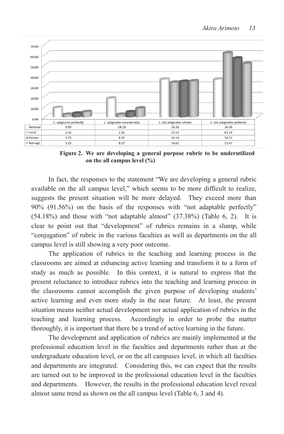

**Figure 2. We are developing a general purpose rubric to be underutilized Figure 2. We are developing a general purpose rubric to be underutilized on the all campus level (%) on the all campus level (%)** 

In fact, the responses to the statement "We are developing a general rubric In fact, the responses to the statement "We are developing a general rubric available on the all campus level," which seems to be more difficult to realize, available on the all campus level," which seems to be more difficult to realize, suggests the present situation will be more delayed. They exceed more than 90% (91.56%) on the basis of the responses with "not adaptable perfectly" 90% (91.56%) on the basis of the responses with "not adaptable perfectly"  $(54.18\%)$  and those with "not adaptable almost"  $(37.38\%)$  (Table 6, 2). It is clear to point out that "development" of rubrics remains in a slump, while "conjugation" of rubric in the various faculties as well as departments on the all campus level is still showing a very poor outcome.  $(370)$  and those while not adaptable annost  $(37.3070)$  (rable 0, 2). It is to point out that development of rubrics remains in a situally, while

The application of rubrics in the teaching and learning process in the classrooms are aimed at enhancing active learning and transform it to a form of study as much as possible. In this context, it is natural to express that the present reluctance to introduce rubrics into the teaching and learning process in the classrooms cannot accomplish the given purpose of developing students' active learning and even more study in the near future. At least, the present situation means neither actual development nor actual application of rubrics in the teaching and learning process. Accordingly in order to probe the matter thoroughly, it is important that there be a trend of active learning in the future. The dealer and application of the development and application of the matter

The development and application of rubrics are mainly implemented at the professional education level in the faculties and departments rather than at the undergraduate education level, or on the all campuses level, in which all faculties and departments are integrated. Considering this, we can expect that the results are turned out to be improved in the professional education level in the faculties and departments. However, the results in the professional education level reveal almost same trend as shown on the all campus level (Table 6, 3 and 4).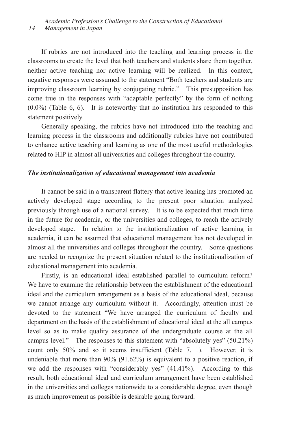If rubrics are not introduced into the teaching and learning process in the classrooms to create the level that both teachers and students share them together, neither active teaching nor active learning will be realized. In this context, negative responses were assumed to the statement "Both teachers and students are improving classroom learning by conjugating rubric." This presupposition has come true in the responses with "adaptable perfectly" by the form of nothing (0.0%) (Table 6, 6). It is noteworthy that no institution has responded to this statement positively.

Generally speaking, the rubrics have not introduced into the teaching and learning process in the classrooms and additionally rubrics have not contributed to enhance active teaching and learning as one of the most useful methodologies related to HIP in almost all universities and colleges throughout the country.

#### *The institutionalization of educational management into academia*

It cannot be said in a transparent flattery that active leaning has promoted an actively developed stage according to the present poor situation analyzed previously through use of a national survey. It is to be expected that much time in the future for academia, or the universities and colleges, to reach the actively developed stage. In relation to the institutionalization of active learning in academia, it can be assumed that educational management has not developed in almost all the universities and colleges throughout the country. Some questions are needed to recognize the present situation related to the institutionalization of educational management into academia.

Firstly, is an educational ideal established parallel to curriculum reform? We have to examine the relationship between the establishment of the educational ideal and the curriculum arrangement as a basis of the educational ideal, because we cannot arrange any curriculum without it. Accordingly, attention must be devoted to the statement "We have arranged the curriculum of faculty and department on the basis of the establishment of educational ideal at the all campus level so as to make quality assurance of the undergraduate course at the all campus level." The responses to this statement with "absolutely yes" (50.21%) count only 50% and so it seems insufficient (Table 7, 1). However, it is undeniable that more than 90% (91.62%) is equivalent to a positive reaction, if we add the responses with "considerably yes" (41.41%). According to this result, both educational ideal and curriculum arrangement have been established in the universities and colleges nationwide to a considerable degree, even though as much improvement as possible is desirable going forward.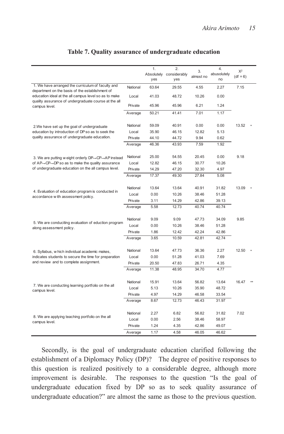|                                                                                                               |          | 1.         | 2.           | 3.        | 4.          | $X^2$      |  |
|---------------------------------------------------------------------------------------------------------------|----------|------------|--------------|-----------|-------------|------------|--|
|                                                                                                               |          | Absolutely | considerably | almost no | abusolutely | $(df = 6)$ |  |
|                                                                                                               |          | yes        | yes          |           | no          |            |  |
| 1. We have arranged the curriculum of faculty and<br>department on the basis of the establishment of          | National | 63.64      | 29.55        | 4.55      | 2.27        | 7.15       |  |
| education ideal at the all campus level so as to make<br>quality assurance of undergraduate course at the all | Local    | 41.03      | 48.72        | 10.26     | 0.00        |            |  |
| campus level.                                                                                                 | Private  | 45.96      | 45.96        | 6.21      | 1.24        |            |  |
|                                                                                                               | Average  | 50.21      | 41.41        | 7.01      | 1.17        |            |  |
| 2. We have set up the goal of undergraduate                                                                   | National | 59.09      | 40.91        | 0.00      | 0.00        | 13.52      |  |
| education by introduction of DP so as to seek the                                                             | Local    | 35.90      | 46.15        | 12.82     | 5.13        |            |  |
| quality assurance of undergraduate education.                                                                 | Private  | 44.10      | 44.72        | 9.94      | 0.62        |            |  |
|                                                                                                               | Average  | 46.36      | 43.93        | 7.59      | 1.92        |            |  |
| 3. We are putting w eight orderly DP→CP→AP instead                                                            | National | 25.00      | 54.55        | 20.45     | 0.00        | 9.18       |  |
| of $AP \rightarrow CP \rightarrow DP$ so as to make the quality assurance                                     | Local    | 12.82      | 46.15        | 30.77     | 10.26       |            |  |
| of undergraduate education on the all campus level.                                                           | Private  | 14.29      | 47.20        | 32.30     | 4.97        |            |  |
|                                                                                                               | Average  | 17.37      | 49.30        | 27.84     | 5.08        |            |  |
|                                                                                                               | National | 13.64      | 13.64        | 40.91     | 31.82       | 13.09      |  |
| 4. Evaluation of education program is conducted in                                                            | Local    | 0.00       | 10.26        | 38.46     | 51.28       |            |  |
| accordance with assessment policy.                                                                            | Private  | 3.11       | 14.29        | 42.86     | 39.13       |            |  |
|                                                                                                               | Average  | 5.58       | 12.73        | 40.74     | 40.74       |            |  |
|                                                                                                               |          |            |              |           |             |            |  |
|                                                                                                               | National | 9.09       | 9.09         | 47.73     | 34.09       | 9.85       |  |
| 5. We are conduciting evaluation of eduction program<br>along assessment policy.                              | Local    | 0.00       | 10.26        | 38.46     | 51.28       |            |  |
|                                                                                                               | Private  | 1.86       | 12.42        | 42.24     | 42.86       |            |  |
|                                                                                                               | Average  | 3.65       | 10.59        | 42.81     | 42.74       |            |  |
| 6. Syllabus, w hich individual academic makes,                                                                | National | 13.64      | 47.73        | 36.36     | 2.27        | 12.50      |  |
| indicates students to secure the time for preparation                                                         | Local    | 0.00       | 51.28        | 41.03     | 7.69        |            |  |
| and review and to complete assignment.                                                                        | Private  | 20.50      | 47.83        | 26.71     | 4.35        |            |  |
|                                                                                                               | Average  | 11.38      | 48.95        | 34.70     | 4.77        |            |  |
|                                                                                                               | National | 15.91      | 13.64        | 56.82     | 13.64       | 16.47      |  |
| 7. We are conducting learning portfolio on the all                                                            | Local    | 5.13       | 10.26        | 35.90     | 48.72       |            |  |
| campus level.                                                                                                 | Private  | 4.97       | 14.29        | 46.58     | 33.54       |            |  |
|                                                                                                               | Average  | 8.67       | 12.73        | 46.43     | 31.97       |            |  |
|                                                                                                               |          |            |              |           |             |            |  |
|                                                                                                               | National | 2.27       | 6.82         | 56.82     | 31.82       | 7.02       |  |
| 8. We are applying teaching portfolio on the all<br>campus level.                                             | Local    | 0.00       | 2.56         | 38.46     | 58.97       |            |  |
|                                                                                                               | Private  | 1.24       | 4.35         | 42.86     | 49.07       |            |  |
|                                                                                                               | Average  | 1.17       | 4.58         | 46.05     | 46.62       |            |  |

## **Table 7. Quality assurance of undergraduate education**

Secondly, is the goal of undergraduate education clarified following the establishment of a Diplomacy Policy (DP)? The degree of positive responses to this question is realized positively to a considerable degree, although more improvement is desirable. The responses to the question "Is the goal of undergraduate education fixed by DP so as to seek quality assurance of undergraduate education?" are almost the same as those to the previous question.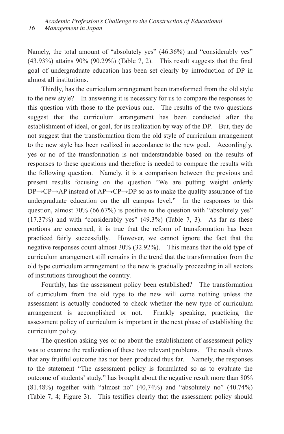Namely, the total amount of "absolutely yes" (46.36%) and "considerably yes" (43.93%) attains 90% (90.29%) (Table 7, 2). This result suggests that the final goal of undergraduate education has been set clearly by introduction of DP in almost all institutions.

Thirdly, has the curriculum arrangement been transformed from the old style to the new style? In answering it is necessary for us to compare the responses to this question with those to the previous one. The results of the two questions suggest that the curriculum arrangement has been conducted after the establishment of ideal, or goal, for its realization by way of the DP. But, they do not suggest that the transformation from the old style of curriculum arrangement to the new style has been realized in accordance to the new goal. Accordingly, yes or no of the transformation is not understandable based on the results of responses to these questions and therefore is needed to compare the results with the following question. Namely, it is a comparison between the previous and present results focusing on the question "We are putting weight orderly DP→CP→AP instead of AP→CP→DP so as to make the quality assurance of the undergraduate education on the all campus level." In the responses to this question, almost 70% (66.67%) is positive to the question with "absolutely yes" (17.37%) and with "considerably yes" (49.3%) (Table 7, 3). As far as these portions are concerned, it is true that the reform of transformation has been practiced fairly successfully. However, we cannot ignore the fact that the negative responses count almost 30% (32.92%). This means that the old type of curriculum arrangement still remains in the trend that the transformation from the old type curriculum arrangement to the new is gradually proceeding in all sectors of institutions throughout the country.

Fourthly, has the assessment policy been established? The transformation of curriculum from the old type to the new will come nothing unless the assessment is actually conducted to check whether the new type of curriculum arrangement is accomplished or not. Frankly speaking, practicing the assessment policy of curriculum is important in the next phase of establishing the curriculum policy.

The question asking yes or no about the establishment of assessment policy was to examine the realization of these two relevant problems. The result shows that any fruitful outcome has not been produced thus far. Namely, the responses to the statement "The assessment policy is formulated so as to evaluate the outcome of students' study." has brought about the negative result more than 80%  $(81.48\%)$  together with "almost no"  $(40,74\%)$  and "absolutely no"  $(40.74\%)$ (Table 7, 4; Figure 3). This testifies clearly that the assessment policy should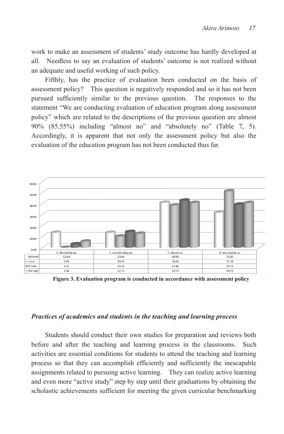work to make an assessment of students' study outcome has hardly developed at all. Needless to say an evaluation of students' outcome is not realized without an adequate and useful working of such policy.  $\mathbf{u}$  to make an assessment of study outcome has has had hardly developed at hardly developed at hardly developed at  $\mathbf{v}$ all. Needless to say and students' outcome into hardly developed at an. Treeness to say an evaluation of statement require and assembly to make an assessment of the basis of studients' study of study of study of study of study outcome has hardly developed at the study of study of study of study of study of study of study of study of th

Fifthly, has the practice of evaluation been conducted on the basis of assessment policy? This question is negatively responded and so it has not been pursued sufficiently similar to the previous question. The responses to the statement "We are conducting evaluation of education program along assessment policy" which are related to the descriptions of the previous question are almost 90% (85.55%) including "almost no" and "absolutely no" (Table 7, 5). Accordingly, it is apparent that not only the assessment policy but also the evaluation of the education program has not been conducted thus far. a strategy, thus the practice of evaluation occur conducted on the bushs of assessment poncy? This question is hegatively responsed and so it has not been<br>pursued sufficiently similar to the previous question. The responses to the parsuce sumerently similar to the previous question. The responses to the statement "We are conducting evaluation of education program along assessment put we are conducing evaluation or calculation program along assessment<br>noticy'' which are related to the descriptions of the previous question are almost poncy which are related to the descriptions of the previous question are almost<br>90% (85.55%) including "almost no" and "absolutely no" (Table 7, 5).  $A \sim \mathbb{R}^2$  is a property that not only the assessment policy but almost  $\mathbb{R}^2$ . everally, it is apparent that not only the assessment policy out also the ally, has the practice of evaluation been conducted on the basis and policy? In a question is negatively. on of the equeation program has not been conqueted thus far.



**Figure 3. Evaluation program is conducted in accordance with assessment policy Figure 3. Evaluation program is conducted in accordance with assessment policy** 

# *Practices of academics and students in the teaching and learning process Practices of academics and students in the teaching and learning process Practices of academics and students in the teaching and learning process*

before and after the teaching and learning process in the classrooms. Such activities are essential conditions for students to attend the teaching and learning process so that they can accomplish efficiently and sufficiently the inescapable assignments related to pursuing active learning. They can realize active learning and even more "active study" step by step until their graduations by obtaining the scholastic achievements sufficient for meeting the given curricular benchmarking scholastic achievements sufficient for meeting the given curricular benchmarking Students should conduct their own studies for preparation and reviews both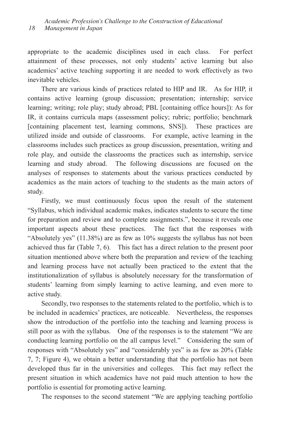appropriate to the academic disciplines used in each class. For perfect attainment of these processes, not only students' active learning but also academics' active teaching supporting it are needed to work effectively as two inevitable vehicles.

There are various kinds of practices related to HIP and IR. As for HIP, it contains active learning (group discussion; presentation; internship; service learning; writing; role play; study abroad; PBL [containing office hours]): As for IR, it contains curricula maps (assessment policy; rubric; portfolio; benchmark [containing placement test, learning commons, SNS]). These practices are utilized inside and outside of classrooms. For example, active learning in the classrooms includes such practices as group discussion, presentation, writing and role play, and outside the classrooms the practices such as internship, service learning and study abroad. The following discussions are focused on the analyses of responses to statements about the various practices conducted by academics as the main actors of teaching to the students as the main actors of study.

Firstly, we must continuously focus upon the result of the statement "Syllabus, which individual academic makes, indicates students to secure the time for preparation and review and to complete assignments.", because it reveals one important aspects about these practices. The fact that the responses with "Absolutely yes" (11.38%) are as few as 10% suggests the syllabus has not been achieved thus far (Table 7, 6). This fact has a direct relation to the present poor situation mentioned above where both the preparation and review of the teaching and learning process have not actually been practiced to the extent that the institutionalization of syllabus is absolutely necessary for the transformation of students' learning from simply learning to active learning, and even more to active study.

Secondly, two responses to the statements related to the portfolio, which is to be included in academics' practices, are noticeable. Nevertheless, the responses show the introduction of the portfolio into the teaching and learning process is still poor as with the syllabus. One of the responses is to the statement "We are conducting learning portfolio on the all campus level." Considering the sum of responses with "Absolutely yes" and "considerably yes" is as few as 20% (Table 7, 7; Figure 4), we obtain a better understanding that the portfolio has not been developed thus far in the universities and colleges. This fact may reflect the present situation in which academics have not paid much attention to how the portfolio is essential for promoting active learning.

The responses to the second statement "We are applying teaching portfolio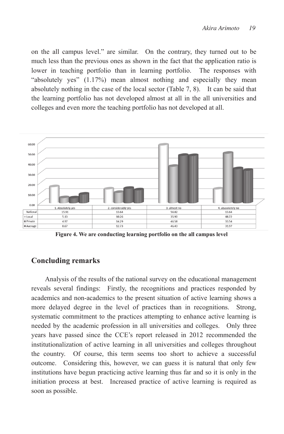on the all campus level." are similar. On the contrary, they turned out to be much less than the previous ones as shown in the fact that the application ratio is lower in teaching portfolio than in learning portfolio. The responses with "absolutely yes" (1.17%) mean almost nothing and especially they mean absolutely nothing in the case of the local sector (Table 7, 8). It can be said that the learning portfolio has not developed almost at all in the all universities and colleges and even more the teaching portfolio has not developed at all. on the all campus level." are similar. On the contrary, they turned out to be on the unique level. The primarily one contains, they turned out to be have the all capital contrary of the all campus in the all campus dependence in the similar on the contrary of the contrary of the contrary, the contrary of the contrary, the contrary, the contrary, the contrary of the con we in teaching portions than in realing portions. The responses with<br>"absolutely yes" (1.17%) mean almost nothing and especially they mean absolutely yes  $(1.17/0)$  firem unified nothing and especially incy firem  $t_{\text{tot}}$  are  $t_{\text{tot}}$  in the case of the focal sector (Table *1*, 0). It can be safe that colleges and even more than the teaching portfolio has not developed at all. Our the the teaching portfolio has not developed at all. The college  $\frac{1}{2}$  absolute  $\frac{1}{2}$  means almost nothing and especially the special  $\frac{1}{2}$  means  $\frac{1}{2}$  means  $\frac{1}{2}$  means  $\frac{1}{2}$  means  $\frac{1}{2}$  means  $\frac{1}{2}$  means  $\frac{1}{2}$  means  $\frac{1}{2}$  means  $\frac{1}{2}$  means caring portions has not developed almost at all in the all universities



**Figure 4. We are conducting learning portfolio on the all campus level Figure 4. We are conducting learning portfolio on the all campus level Figure 4. We are conducting learning portfolio on the all campus level** 

#### **Concluding remarks Concluding remarks Concluding remarks**

reveals several findings: Firstly, the recognitions and practices responded by academics and non-academics to the present situation of active learning shows a more delayed degree in the level of practices than in recognitions. Strong, systematic commitment to the practices attempting to enhance active learning is needed by the academic profession in all universities and colleges. Only three years have passed since the CCE's report released in 2012 recommended the institutionalization of active learning in all universities and colleges throughout the country. Of course, this term seems too short to achieve a successful outcome. Considering this, however, we can guess it is natural that only few institutions have begun practicing active learning thus far and so it is only in the initiation process at best. Increased practice of active learning is required as soon as possible.  $\frac{1}{1}$ soon as possible. Analysis of the results of the national survey on the educational management Analysis of the results of the national survey on the educational management and several manips. Though the recognitions and practices responded  $\mu$ uuons nave be $\frac{1}{2}$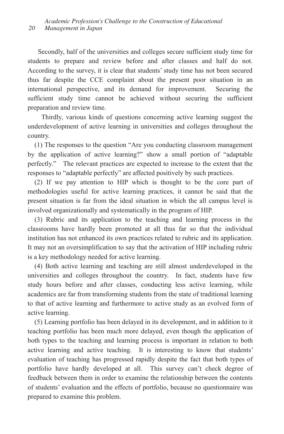Secondly, half of the universities and colleges secure sufficient study time for students to prepare and review before and after classes and half do not. According to the survey, it is clear that students' study time has not been secured thus far despite the CCE complaint about the present poor situation in an international perspective, and its demand for improvement. Securing the sufficient study time cannot be achieved without securing the sufficient preparation and review time.

Thirdly, various kinds of questions concerning active learning suggest the underdevelopment of active learning in universities and colleges throughout the country.

(1) The responses to the question "Are you conducting classroom management by the application of active learning?" show a small portion of "adaptable perfectly." The relevant practices are expected to increase to the extent that the responses to "adaptable perfectly" are affected positively by such practices.

(2) If we pay attention to HIP which is thought to be the core part of methodologies useful for active learning practices, it cannot be said that the present situation is far from the ideal situation in which the all campus level is involved organizationally and systematically in the program of HIP.

(3) Rubric and its application to the teaching and learning process in the classrooms have hardly been promoted at all thus far so that the individual institution has not enhanced its own practices related to rubric and its application. It may not an oversimplification to say that the activation of HIP including rubric is a key methodology needed for active learning.

(4) Both active learning and teaching are still almost underdeveloped in the universities and colleges throughout the country. In fact, students have few study hours before and after classes, conducting less active learning, while academics are far from transforming students from the state of traditional learning to that of active learning and furthermore to active study as an evolved form of active learning.

(5) Learning portfolio has been delayed in its development, and in addition to it teaching portfolio has been much more delayed, even though the application of both types to the teaching and learning process is important in relation to both active learning and active teaching. It is interesting to know that students' evaluation of teaching has progressed rapidly despite the fact that both types of portfolio have hardly developed at all. This survey can't check degree of feedback between them in order to examine the relationship between the contents of students' evaluation and the effects of portfolio, because no questionnaire was prepared to examine this problem.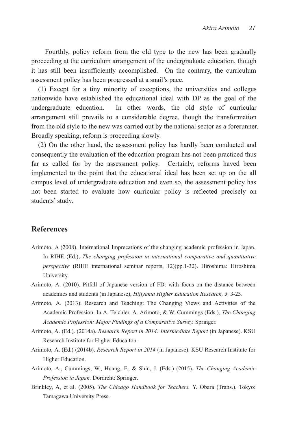Fourthly, policy reform from the old type to the new has been gradually proceeding at the curriculum arrangement of the undergraduate education, though it has still been insufficiently accomplished. On the contrary, the curriculum assessment policy has been progressed at a snail's pace.

(1) Except for a tiny minority of exceptions, the universities and colleges nationwide have established the educational ideal with DP as the goal of the undergraduate education. In other words, the old style of curricular arrangement still prevails to a considerable degree, though the transformation from the old style to the new was carried out by the national sector as a forerunner. Broadly speaking, reform is proceeding slowly.

(2) On the other hand, the assessment policy has hardly been conducted and consequently the evaluation of the education program has not been practiced thus far as called for by the assessment policy. Certainly, reforms haved been implemented to the point that the educational ideal has been set up on the all campus level of undergraduate education and even so, the assessment policy has not been started to evaluate how curricular policy is reflected precisely on students' study.

## **References**

- Arimoto, A (2008). International Imprecations of the changing academic profession in Japan. In RIHE (Ed.), *The changing profession in international comparative and quantitative perspective* (RIHE international seminar reports, 12)(pp.1-32). Hiroshima: Hiroshima University.
- Arimoto, A. (2010). Pitfall of Japanese version of FD: with focus on the distance between academics and students (in Japanese), *Hijiyama Higher Education Research, 3,* 3-23.
- Arimoto, A. (2013). Research and Teaching: The Changing Views and Activities of the Academic Profession. In A. Teichler, A. Arimoto, & W. Cummings (Eds.), *The Changing Academic Profession: Major Findings of a Comparative Survey.* Springer.
- Arimoto, A. (Ed.). (2014a). *Research Report in 2014: Intermediate Report* (in Japanese). KSU Research Institute for Higher Educaiton.
- Arimoto, A. (Ed.) (2014b). *Research Report in 2014* (in Japanese). KSU Research Institute for Higher Education.
- Arimoto, A., Cummings, W., Huang, F., & Shin, J. (Eds.) (2015). *The Changing Academic Profession in Japan.* Dordreht: Springer.
- Brinkley, A, et al. (2005). *The Chicago Handbook for Teachers.* Y. Obara (Trans.). Tokyo: Tamagawa University Press.